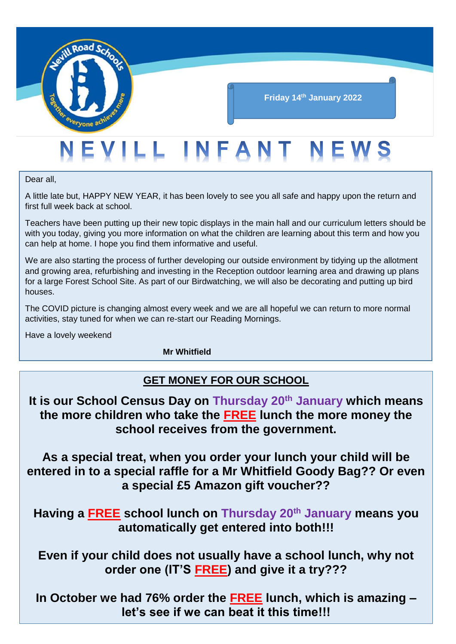

# **Friday 14th January 2022**

# EVILL INFANT NEWS

Dear all,

A little late but, HAPPY NEW YEAR, it has been lovely to see you all safe and happy upon the return and first full week back at school.

Teachers have been putting up their new topic displays in the main hall and our curriculum letters should be with you today, giving you more information on what the children are learning about this term and how you can help at home. I hope you find them informative and useful.

We are also starting the process of further developing our outside environment by tidying up the allotment and growing area, refurbishing and investing in the Reception outdoor learning area and drawing up plans for a large Forest School Site. As part of our Birdwatching, we will also be decorating and putting up bird houses.

The COVID picture is changing almost every week and we are all hopeful we can return to more normal activities, stay tuned for when we can re-start our Reading Mornings.

Have a lovely weekend

**Mr Whitfield**

# **GET MONEY FOR OUR SCHOOL**

**It is our School Census Day on Thursday 20th January which means the more children who take the FREE lunch the more money the school receives from the government.**

**As a special treat, when you order your lunch your child will be entered in to a special raffle for a Mr Whitfield Goody Bag?? Or even a special £5 Amazon gift voucher??**

**Having a FREE school lunch on Thursday 20th January means you automatically get entered into both!!!** 

**Even if your child does not usually have a school lunch, why not order one (IT'S FREE) and give it a try???**

**In October we had 76% order the FREE lunch, which is amazing – let's see if we can beat it this time!!!**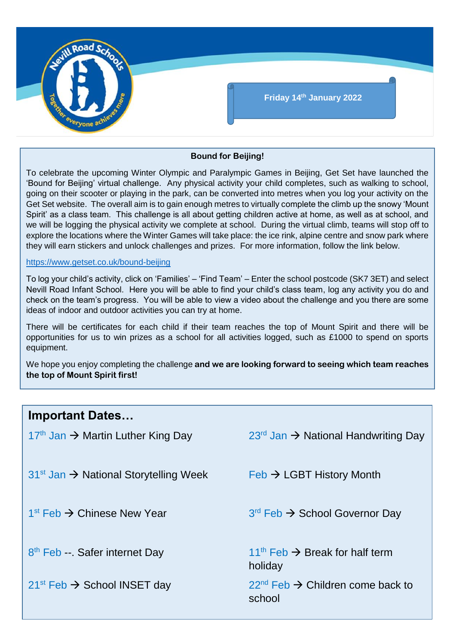

#### **Bound for Beijing!**

To celebrate the upcoming Winter Olympic and Paralympic Games in Beijing, Get Set have launched the 'Bound for Beijing' virtual challenge. Any physical activity your child completes, such as walking to school, going on their scooter or playing in the park, can be converted into metres when you log your activity on the Get Set website. The overall aim is to gain enough metres to virtually complete the climb up the snowy 'Mount Spirit' as a class team. This challenge is all about getting children active at home, as well as at school, and we will be logging the physical activity we complete at school. During the virtual climb, teams will stop off to explore the locations where the Winter Games will take place: the ice rink, alpine centre and snow park where they will earn stickers and unlock challenges and prizes. For more information, follow the link below.

#### <https://www.getset.co.uk/bound-beijing>

To log your child's activity, click on 'Families' – 'Find Team' – Enter the school postcode (SK7 3ET) and select Nevill Road Infant School. Here you will be able to find your child's class team, log any activity you do and check on the team's progress. You will be able to view a video about the challenge and you there are some ideas of indoor and outdoor activities you can try at home.

There will be certificates for each child if their team reaches the top of Mount Spirit and there will be opportunities for us to win prizes as a school for all activities logged, such as £1000 to spend on sports equipment.

We hope you enjoy completing the challenge **and we are looking forward to seeing which team reaches the top of Mount Spirit first!**

| <b>Important Dates</b>                              |                                                             |
|-----------------------------------------------------|-------------------------------------------------------------|
| $17th$ Jan $\rightarrow$ Martin Luther King Day     | $23rd$ Jan $\rightarrow$ National Handwriting Day           |
| $31st$ Jan $\rightarrow$ National Storytelling Week | $Feb \rightarrow LGBT$ History Month                        |
| $1st$ Feb $\rightarrow$ Chinese New Year            | $3rd$ Feb $\rightarrow$ School Governor Day                 |
| 8 <sup>th</sup> Feb - Safer internet Day            | $11th$ Feb $\rightarrow$ Break for half term<br>holiday     |
| $21^{st}$ Feb $\rightarrow$ School INSET day        | $22^{nd}$ Feb $\rightarrow$ Children come back to<br>school |